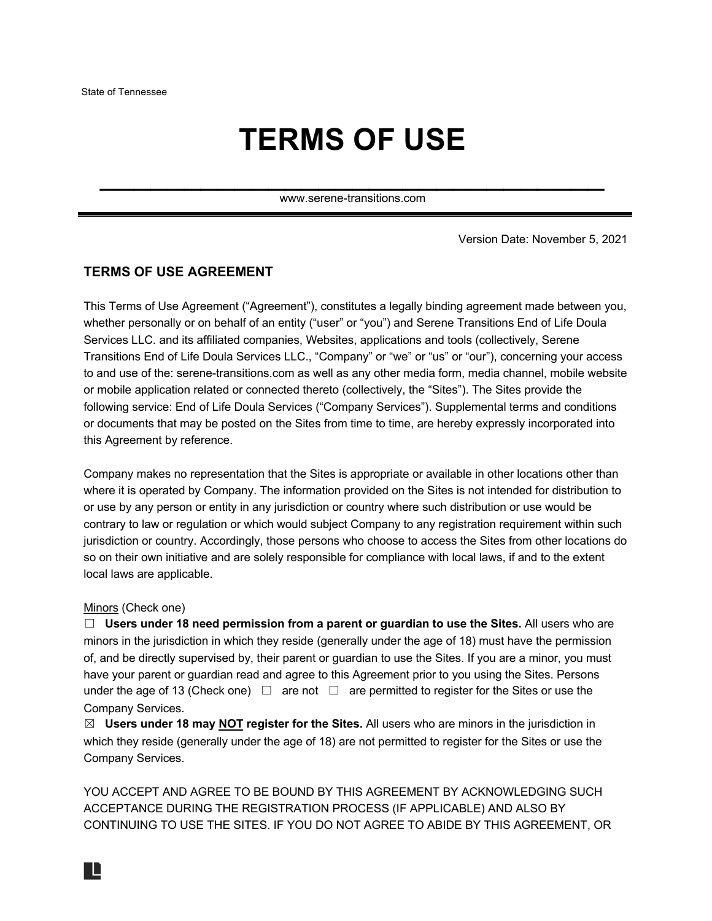# **TERMS OF USE**

www.serene-transitions.com

 $\mathcal{L}_\text{max}$  and  $\mathcal{L}_\text{max}$  and  $\mathcal{L}_\text{max}$  are the set of  $\mathcal{L}_\text{max}$ 

Version Date: November 5, 2021

## **TERMS OF USE AGREEMENT**

This Terms of Use Agreement ("Agreement"), constitutes a legally binding agreement made between you, whether personally or on behalf of an entity ("user" or "you") and Serene Transitions End of Life Doula Services LLC. and its affiliated companies, Websites, applications and tools (collectively, Serene Transitions End of Life Doula Services LLC., "Company" or "we" or "us" or "our"), concerning your access to and use of the: serene-transitions.com as well as any other media form, media channel, mobile website or mobile application related or connected thereto (collectively, the "Sites"). The Sites provide the following service: End of Life Doula Services ("Company Services"). Supplemental terms and conditions or documents that may be posted on the Sites from time to time, are hereby expressly incorporated into this Agreement by reference.

Company makes no representation that the Sites is appropriate or available in other locations other than where it is operated by Company. The information provided on the Sites is not intended for distribution to or use by any person or entity in any jurisdiction or country where such distribution or use would be contrary to law or regulation or which would subject Company to any registration requirement within such jurisdiction or country. Accordingly, those persons who choose to access the Sites from other locations do so on their own initiative and are solely responsible for compliance with local laws, if and to the extent local laws are applicable.

#### Minors (Check one)

IL

☐ **Users under 18 need permission from a parent or guardian to use the Sites.** All users who are minors in the jurisdiction in which they reside (generally under the age of 18) must have the permission of, and be directly supervised by, their parent or guardian to use the Sites. If you are a minor, you must have your parent or guardian read and agree to this Agreement prior to you using the Sites. Persons under the age of 13 (Check one)  $\Box$  are not  $\Box$  are permitted to register for the Sites or use the Company Services.

☒ **Users under 18 may NOT register for the Sites.** All users who are minors in the jurisdiction in which they reside (generally under the age of 18) are not permitted to register for the Sites or use the Company Services.

YOU ACCEPT AND AGREE TO BE BOUND BY THIS AGREEMENT BY ACKNOWLEDGING SUCH ACCEPTANCE DURING THE REGISTRATION PROCESS (IF APPLICABLE) AND ALSO BY CONTINUING TO USE THE SITES. IF YOU DO NOT AGREE TO ABIDE BY THIS AGREEMENT, OR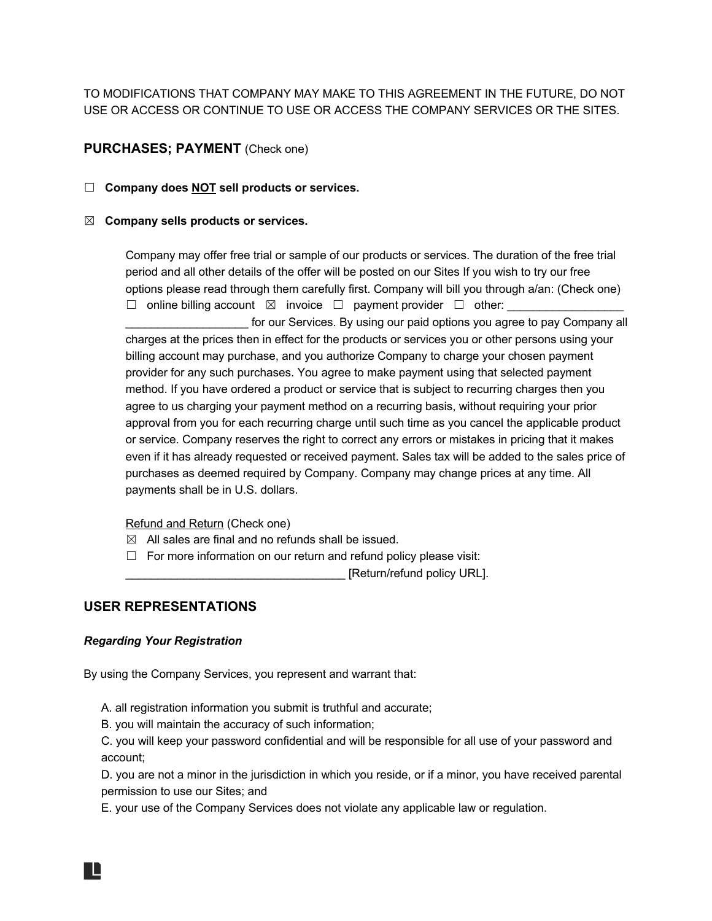TO MODIFICATIONS THAT COMPANY MAY MAKE TO THIS AGREEMENT IN THE FUTURE, DO NOT USE OR ACCESS OR CONTINUE TO USE OR ACCESS THE COMPANY SERVICES OR THE SITES.

# **PURCHASES; PAYMENT** (Check one)

#### ☐ **Company does NOT sell products or services.**

#### ☒ **Company sells products or services.**

Company may offer free trial or sample of our products or services. The duration of the free trial period and all other details of the offer will be posted on our Sites If you wish to try our free options please read through them carefully first. Company will bill you through a/an: (Check one) ☐ online billing account ☒ invoice ☐ payment provider ☐ other: \_\_\_\_\_\_\_\_\_\_\_\_\_\_\_\_\_\_

for our Services. By using our paid options you agree to pay Company all charges at the prices then in effect for the products or services you or other persons using your billing account may purchase, and you authorize Company to charge your chosen payment provider for any such purchases. You agree to make payment using that selected payment method. If you have ordered a product or service that is subject to recurring charges then you agree to us charging your payment method on a recurring basis, without requiring your prior approval from you for each recurring charge until such time as you cancel the applicable product or service. Company reserves the right to correct any errors or mistakes in pricing that it makes even if it has already requested or received payment. Sales tax will be added to the sales price of purchases as deemed required by Company. Company may change prices at any time. All payments shall be in U.S. dollars.

Refund and Return (Check one)

- $\boxtimes$  All sales are final and no refunds shall be issued.
- □ For more information on our return and refund policy please visit:

\_\_\_\_\_\_\_\_\_\_\_\_\_\_\_\_\_\_\_\_\_\_\_\_\_\_\_\_\_\_\_\_\_\_ [Return/refund policy URL].

## **USER REPRESENTATIONS**

#### *Regarding Your Registration*

By using the Company Services, you represent and warrant that:

A. all registration information you submit is truthful and accurate;

B. you will maintain the accuracy of such information;

C. you will keep your password confidential and will be responsible for all use of your password and account;

D. you are not a minor in the jurisdiction in which you reside, or if a minor, you have received parental permission to use our Sites; and

E. your use of the Company Services does not violate any applicable law or regulation.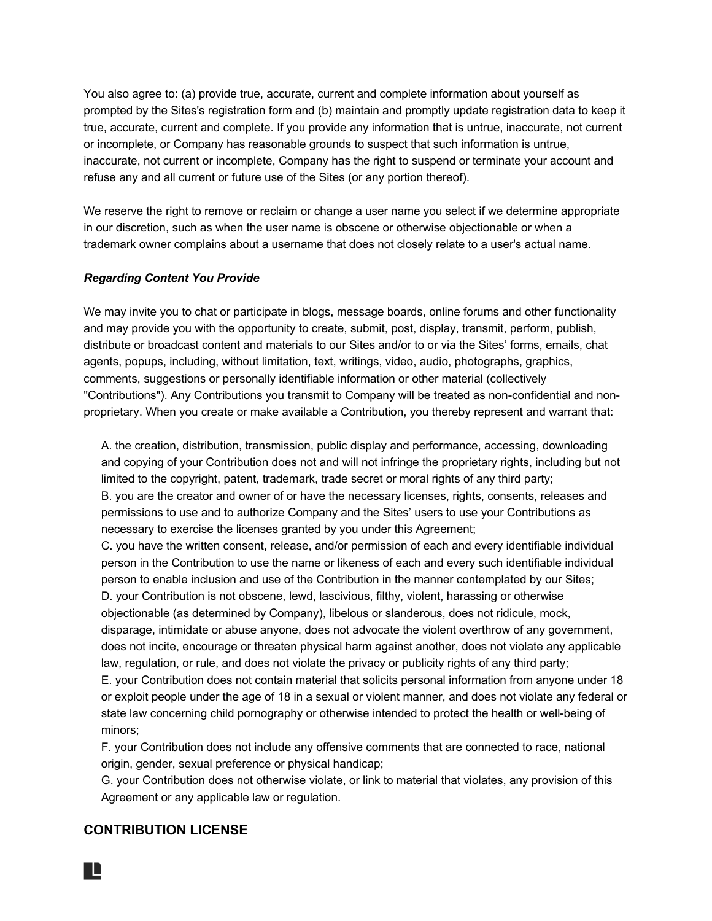You also agree to: (a) provide true, accurate, current and complete information about yourself as prompted by the Sites's registration form and (b) maintain and promptly update registration data to keep it true, accurate, current and complete. If you provide any information that is untrue, inaccurate, not current or incomplete, or Company has reasonable grounds to suspect that such information is untrue, inaccurate, not current or incomplete, Company has the right to suspend or terminate your account and refuse any and all current or future use of the Sites (or any portion thereof).

We reserve the right to remove or reclaim or change a user name you select if we determine appropriate in our discretion, such as when the user name is obscene or otherwise objectionable or when a trademark owner complains about a username that does not closely relate to a user's actual name.

#### *Regarding Content You Provide*

We may invite you to chat or participate in blogs, message boards, online forums and other functionality and may provide you with the opportunity to create, submit, post, display, transmit, perform, publish, distribute or broadcast content and materials to our Sites and/or to or via the Sites' forms, emails, chat agents, popups, including, without limitation, text, writings, video, audio, photographs, graphics, comments, suggestions or personally identifiable information or other material (collectively "Contributions"). Any Contributions you transmit to Company will be treated as non-confidential and nonproprietary. When you create or make available a Contribution, you thereby represent and warrant that:

A. the creation, distribution, transmission, public display and performance, accessing, downloading and copying of your Contribution does not and will not infringe the proprietary rights, including but not limited to the copyright, patent, trademark, trade secret or moral rights of any third party; B. you are the creator and owner of or have the necessary licenses, rights, consents, releases and permissions to use and to authorize Company and the Sites' users to use your Contributions as necessary to exercise the licenses granted by you under this Agreement;

C. you have the written consent, release, and/or permission of each and every identifiable individual person in the Contribution to use the name or likeness of each and every such identifiable individual person to enable inclusion and use of the Contribution in the manner contemplated by our Sites; D. your Contribution is not obscene, lewd, lascivious, filthy, violent, harassing or otherwise objectionable (as determined by Company), libelous or slanderous, does not ridicule, mock, disparage, intimidate or abuse anyone, does not advocate the violent overthrow of any government, does not incite, encourage or threaten physical harm against another, does not violate any applicable law, regulation, or rule, and does not violate the privacy or publicity rights of any third party; E. your Contribution does not contain material that solicits personal information from anyone under 18

or exploit people under the age of 18 in a sexual or violent manner, and does not violate any federal or state law concerning child pornography or otherwise intended to protect the health or well-being of minors;

F. your Contribution does not include any offensive comments that are connected to race, national origin, gender, sexual preference or physical handicap;

G. your Contribution does not otherwise violate, or link to material that violates, any provision of this Agreement or any applicable law or regulation.

# **CONTRIBUTION LICENSE**

IL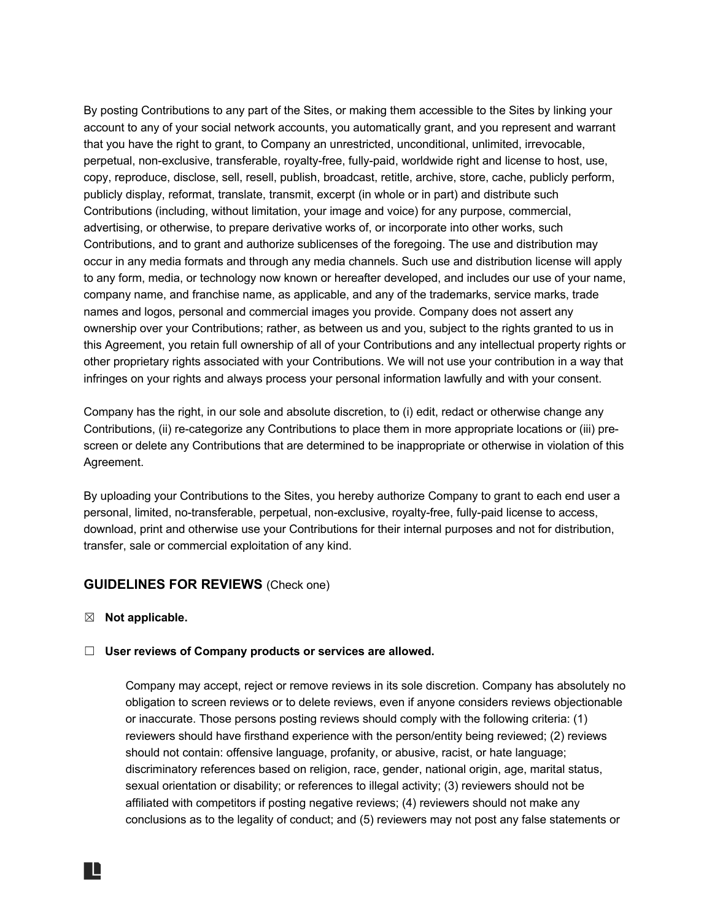By posting Contributions to any part of the Sites, or making them accessible to the Sites by linking your account to any of your social network accounts, you automatically grant, and you represent and warrant that you have the right to grant, to Company an unrestricted, unconditional, unlimited, irrevocable, perpetual, non-exclusive, transferable, royalty-free, fully-paid, worldwide right and license to host, use, copy, reproduce, disclose, sell, resell, publish, broadcast, retitle, archive, store, cache, publicly perform, publicly display, reformat, translate, transmit, excerpt (in whole or in part) and distribute such Contributions (including, without limitation, your image and voice) for any purpose, commercial, advertising, or otherwise, to prepare derivative works of, or incorporate into other works, such Contributions, and to grant and authorize sublicenses of the foregoing. The use and distribution may occur in any media formats and through any media channels. Such use and distribution license will apply to any form, media, or technology now known or hereafter developed, and includes our use of your name, company name, and franchise name, as applicable, and any of the trademarks, service marks, trade names and logos, personal and commercial images you provide. Company does not assert any ownership over your Contributions; rather, as between us and you, subject to the rights granted to us in this Agreement, you retain full ownership of all of your Contributions and any intellectual property rights or other proprietary rights associated with your Contributions. We will not use your contribution in a way that infringes on your rights and always process your personal information lawfully and with your consent.

Company has the right, in our sole and absolute discretion, to (i) edit, redact or otherwise change any Contributions, (ii) re-categorize any Contributions to place them in more appropriate locations or (iii) prescreen or delete any Contributions that are determined to be inappropriate or otherwise in violation of this Agreement.

By uploading your Contributions to the Sites, you hereby authorize Company to grant to each end user a personal, limited, no-transferable, perpetual, non-exclusive, royalty-free, fully-paid license to access, download, print and otherwise use your Contributions for their internal purposes and not for distribution, transfer, sale or commercial exploitation of any kind.

# **GUIDELINES FOR REVIEWS** (Check one)

☒ **Not applicable.**

#### ☐ **User reviews of Company products or services are allowed.**

Company may accept, reject or remove reviews in its sole discretion. Company has absolutely no obligation to screen reviews or to delete reviews, even if anyone considers reviews objectionable or inaccurate. Those persons posting reviews should comply with the following criteria: (1) reviewers should have firsthand experience with the person/entity being reviewed; (2) reviews should not contain: offensive language, profanity, or abusive, racist, or hate language; discriminatory references based on religion, race, gender, national origin, age, marital status, sexual orientation or disability; or references to illegal activity; (3) reviewers should not be affiliated with competitors if posting negative reviews; (4) reviewers should not make any conclusions as to the legality of conduct; and (5) reviewers may not post any false statements or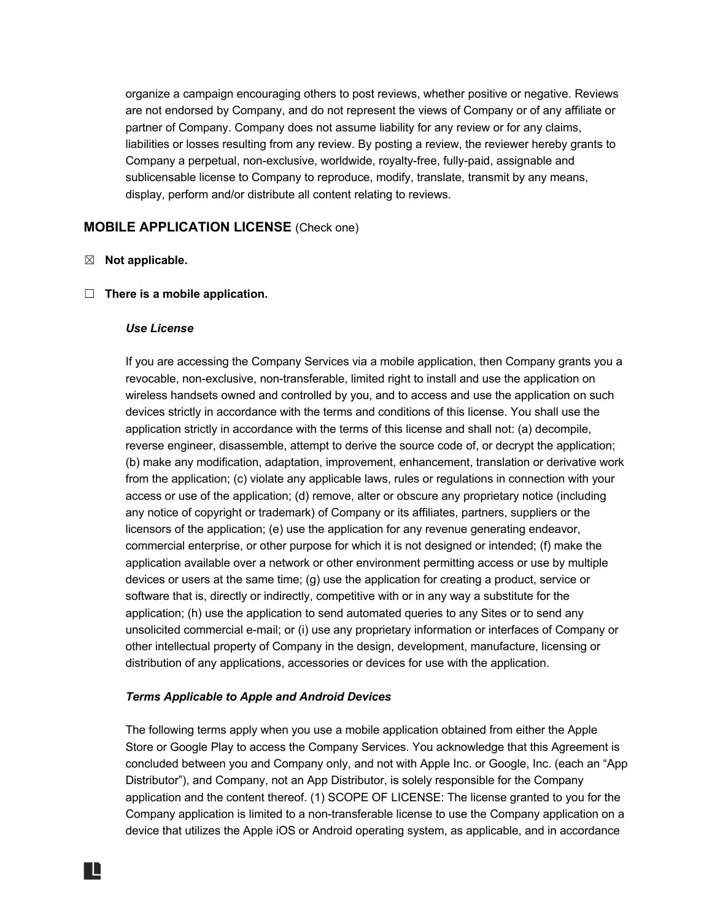organize a campaign encouraging others to post reviews, whether positive or negative. Reviews are not endorsed by Company, and do not represent the views of Company or of any affiliate or partner of Company. Company does not assume liability for any review or for any claims, liabilities or losses resulting from any review. By posting a review, the reviewer hereby grants to Company a perpetual, non-exclusive, worldwide, royalty-free, fully-paid, assignable and sublicensable license to Company to reproduce, modify, translate, transmit by any means, display, perform and/or distribute all content relating to reviews.

# **MOBILE APPLICATION LICENSE** (Check one)

## ☒ **Not applicable.**

#### ☐ **There is a mobile application.**

#### *Use License*

If you are accessing the Company Services via a mobile application, then Company grants you a revocable, non-exclusive, non-transferable, limited right to install and use the application on wireless handsets owned and controlled by you, and to access and use the application on such devices strictly in accordance with the terms and conditions of this license. You shall use the application strictly in accordance with the terms of this license and shall not: (a) decompile, reverse engineer, disassemble, attempt to derive the source code of, or decrypt the application; (b) make any modification, adaptation, improvement, enhancement, translation or derivative work from the application; (c) violate any applicable laws, rules or regulations in connection with your access or use of the application; (d) remove, alter or obscure any proprietary notice (including any notice of copyright or trademark) of Company or its affiliates, partners, suppliers or the licensors of the application; (e) use the application for any revenue generating endeavor, commercial enterprise, or other purpose for which it is not designed or intended; (f) make the application available over a network or other environment permitting access or use by multiple devices or users at the same time; (g) use the application for creating a product, service or software that is, directly or indirectly, competitive with or in any way a substitute for the application; (h) use the application to send automated queries to any Sites or to send any unsolicited commercial e-mail; or (i) use any proprietary information or interfaces of Company or other intellectual property of Company in the design, development, manufacture, licensing or distribution of any applications, accessories or devices for use with the application.

#### *Terms Applicable to Apple and Android Devices*

The following terms apply when you use a mobile application obtained from either the Apple Store or Google Play to access the Company Services. You acknowledge that this Agreement is concluded between you and Company only, and not with Apple Inc. or Google, Inc. (each an "App Distributor"), and Company, not an App Distributor, is solely responsible for the Company application and the content thereof. (1) SCOPE OF LICENSE: The license granted to you for the Company application is limited to a non-transferable license to use the Company application on a device that utilizes the Apple iOS or Android operating system, as applicable, and in accordance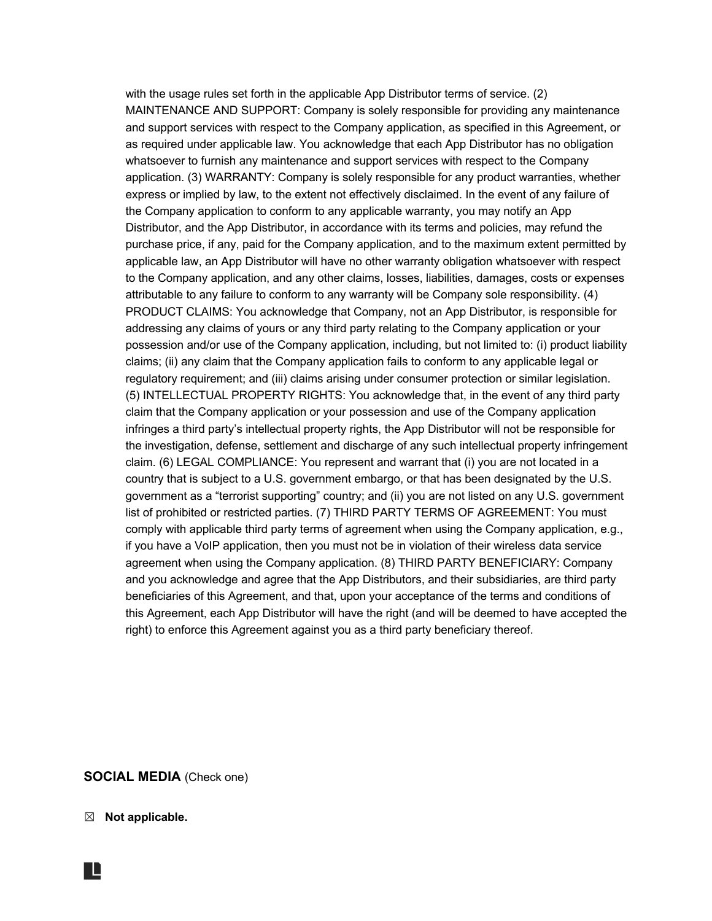with the usage rules set forth in the applicable App Distributor terms of service. (2) MAINTENANCE AND SUPPORT: Company is solely responsible for providing any maintenance and support services with respect to the Company application, as specified in this Agreement, or as required under applicable law. You acknowledge that each App Distributor has no obligation whatsoever to furnish any maintenance and support services with respect to the Company application. (3) WARRANTY: Company is solely responsible for any product warranties, whether express or implied by law, to the extent not effectively disclaimed. In the event of any failure of the Company application to conform to any applicable warranty, you may notify an App Distributor, and the App Distributor, in accordance with its terms and policies, may refund the purchase price, if any, paid for the Company application, and to the maximum extent permitted by applicable law, an App Distributor will have no other warranty obligation whatsoever with respect to the Company application, and any other claims, losses, liabilities, damages, costs or expenses attributable to any failure to conform to any warranty will be Company sole responsibility. (4) PRODUCT CLAIMS: You acknowledge that Company, not an App Distributor, is responsible for addressing any claims of yours or any third party relating to the Company application or your possession and/or use of the Company application, including, but not limited to: (i) product liability claims; (ii) any claim that the Company application fails to conform to any applicable legal or regulatory requirement; and (iii) claims arising under consumer protection or similar legislation. (5) INTELLECTUAL PROPERTY RIGHTS: You acknowledge that, in the event of any third party claim that the Company application or your possession and use of the Company application infringes a third party's intellectual property rights, the App Distributor will not be responsible for the investigation, defense, settlement and discharge of any such intellectual property infringement claim. (6) LEGAL COMPLIANCE: You represent and warrant that (i) you are not located in a country that is subject to a U.S. government embargo, or that has been designated by the U.S. government as a "terrorist supporting" country; and (ii) you are not listed on any U.S. government list of prohibited or restricted parties. (7) THIRD PARTY TERMS OF AGREEMENT: You must comply with applicable third party terms of agreement when using the Company application, e.g., if you have a VoIP application, then you must not be in violation of their wireless data service agreement when using the Company application. (8) THIRD PARTY BENEFICIARY: Company and you acknowledge and agree that the App Distributors, and their subsidiaries, are third party beneficiaries of this Agreement, and that, upon your acceptance of the terms and conditions of this Agreement, each App Distributor will have the right (and will be deemed to have accepted the right) to enforce this Agreement against you as a third party beneficiary thereof.

#### **SOCIAL MEDIA** (Check one)

☒ **Not applicable.**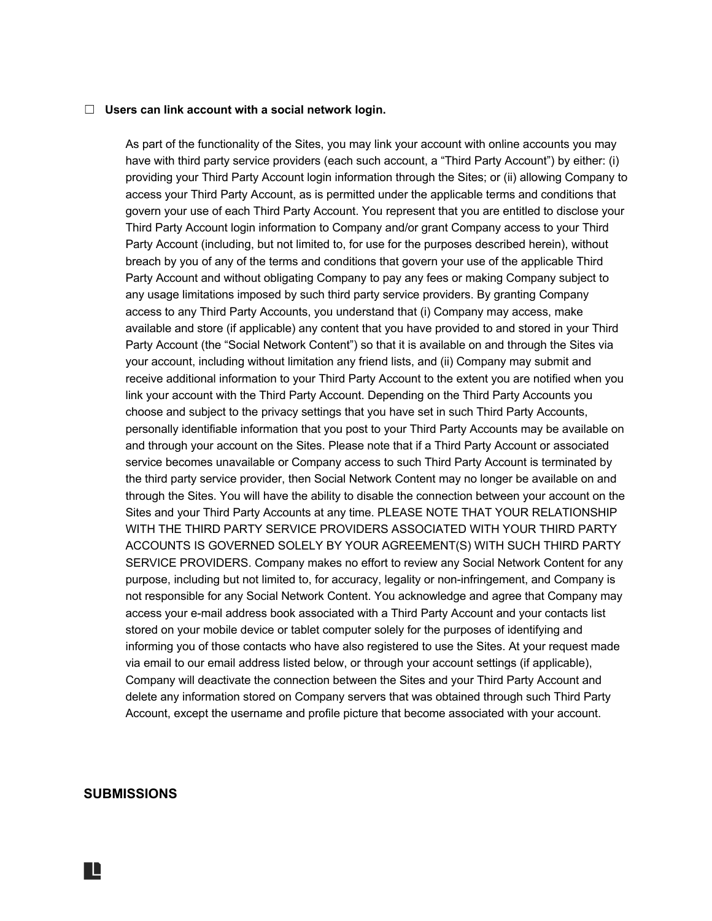#### ☐ **Users can link account with a social network login.**

As part of the functionality of the Sites, you may link your account with online accounts you may have with third party service providers (each such account, a "Third Party Account") by either: (i) providing your Third Party Account login information through the Sites; or (ii) allowing Company to access your Third Party Account, as is permitted under the applicable terms and conditions that govern your use of each Third Party Account. You represent that you are entitled to disclose your Third Party Account login information to Company and/or grant Company access to your Third Party Account (including, but not limited to, for use for the purposes described herein), without breach by you of any of the terms and conditions that govern your use of the applicable Third Party Account and without obligating Company to pay any fees or making Company subject to any usage limitations imposed by such third party service providers. By granting Company access to any Third Party Accounts, you understand that (i) Company may access, make available and store (if applicable) any content that you have provided to and stored in your Third Party Account (the "Social Network Content") so that it is available on and through the Sites via your account, including without limitation any friend lists, and (ii) Company may submit and receive additional information to your Third Party Account to the extent you are notified when you link your account with the Third Party Account. Depending on the Third Party Accounts you choose and subject to the privacy settings that you have set in such Third Party Accounts, personally identifiable information that you post to your Third Party Accounts may be available on and through your account on the Sites. Please note that if a Third Party Account or associated service becomes unavailable or Company access to such Third Party Account is terminated by the third party service provider, then Social Network Content may no longer be available on and through the Sites. You will have the ability to disable the connection between your account on the Sites and your Third Party Accounts at any time. PLEASE NOTE THAT YOUR RELATIONSHIP WITH THE THIRD PARTY SERVICE PROVIDERS ASSOCIATED WITH YOUR THIRD PARTY ACCOUNTS IS GOVERNED SOLELY BY YOUR AGREEMENT(S) WITH SUCH THIRD PARTY SERVICE PROVIDERS. Company makes no effort to review any Social Network Content for any purpose, including but not limited to, for accuracy, legality or non-infringement, and Company is not responsible for any Social Network Content. You acknowledge and agree that Company may access your e-mail address book associated with a Third Party Account and your contacts list stored on your mobile device or tablet computer solely for the purposes of identifying and informing you of those contacts who have also registered to use the Sites. At your request made via email to our email address listed below, or through your account settings (if applicable), Company will deactivate the connection between the Sites and your Third Party Account and delete any information stored on Company servers that was obtained through such Third Party Account, except the username and profile picture that become associated with your account.

## **SUBMISSIONS**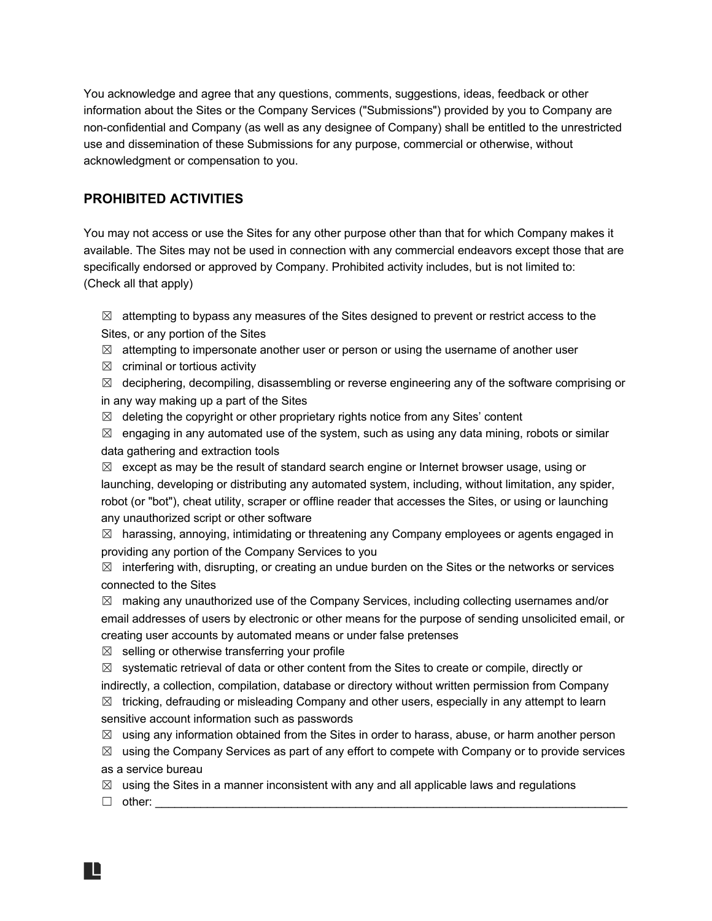You acknowledge and agree that any questions, comments, suggestions, ideas, feedback or other information about the Sites or the Company Services ("Submissions") provided by you to Company are non-confidential and Company (as well as any designee of Company) shall be entitled to the unrestricted use and dissemination of these Submissions for any purpose, commercial or otherwise, without acknowledgment or compensation to you.

# **PROHIBITED ACTIVITIES**

You may not access or use the Sites for any other purpose other than that for which Company makes it available. The Sites may not be used in connection with any commercial endeavors except those that are specifically endorsed or approved by Company. Prohibited activity includes, but is not limited to: (Check all that apply)

 $\boxtimes$  attempting to bypass any measures of the Sites designed to prevent or restrict access to the Sites, or any portion of the Sites

- $\boxtimes$  attempting to impersonate another user or person or using the username of another user
- $\boxtimes$  criminal or tortious activity

 $\boxtimes$  deciphering, decompiling, disassembling or reverse engineering any of the software comprising or in any way making up a part of the Sites

 $\boxtimes$  deleting the copyright or other proprietary rights notice from any Sites' content

 $\boxtimes$  engaging in any automated use of the system, such as using any data mining, robots or similar data gathering and extraction tools

 $\boxtimes$  except as may be the result of standard search engine or Internet browser usage, using or launching, developing or distributing any automated system, including, without limitation, any spider, robot (or "bot"), cheat utility, scraper or offline reader that accesses the Sites, or using or launching any unauthorized script or other software

☒ harassing, annoying, intimidating or threatening any Company employees or agents engaged in providing any portion of the Company Services to you

 $\boxtimes$  interfering with, disrupting, or creating an undue burden on the Sites or the networks or services connected to the Sites

 $\boxtimes$  making any unauthorized use of the Company Services, including collecting usernames and/or email addresses of users by electronic or other means for the purpose of sending unsolicited email, or creating user accounts by automated means or under false pretenses

 $\boxtimes$  selling or otherwise transferring your profile

 $\boxtimes$  systematic retrieval of data or other content from the Sites to create or compile, directly or indirectly, a collection, compilation, database or directory without written permission from Company  $\boxtimes$  tricking, defrauding or misleading Company and other users, especially in any attempt to learn

sensitive account information such as passwords

 $\boxtimes$  using any information obtained from the Sites in order to harass, abuse, or harm another person

 $\boxtimes$  using the Company Services as part of any effort to compete with Company or to provide services as a service bureau

 $\boxtimes$  using the Sites in a manner inconsistent with any and all applicable laws and regulations

☐ other: \_\_\_\_\_\_\_\_\_\_\_\_\_\_\_\_\_\_\_\_\_\_\_\_\_\_\_\_\_\_\_\_\_\_\_\_\_\_\_\_\_\_\_\_\_\_\_\_\_\_\_\_\_\_\_\_\_\_\_\_\_\_\_\_\_\_\_\_\_\_\_\_\_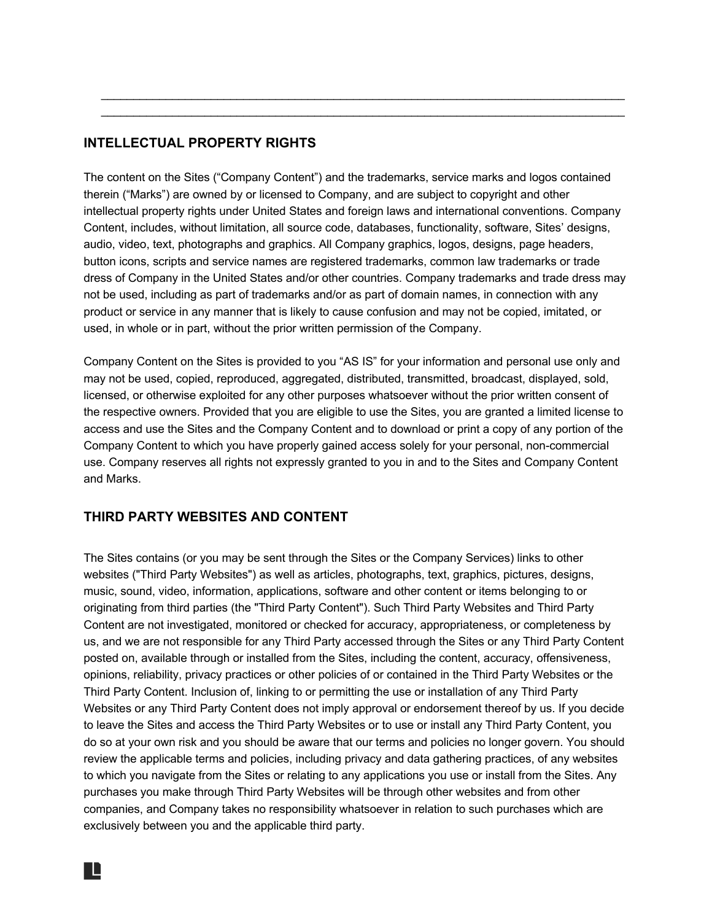# **INTELLECTUAL PROPERTY RIGHTS**

The content on the Sites ("Company Content") and the trademarks, service marks and logos contained therein ("Marks") are owned by or licensed to Company, and are subject to copyright and other intellectual property rights under United States and foreign laws and international conventions. Company Content, includes, without limitation, all source code, databases, functionality, software, Sites' designs, audio, video, text, photographs and graphics. All Company graphics, logos, designs, page headers, button icons, scripts and service names are registered trademarks, common law trademarks or trade dress of Company in the United States and/or other countries. Company trademarks and trade dress may not be used, including as part of trademarks and/or as part of domain names, in connection with any product or service in any manner that is likely to cause confusion and may not be copied, imitated, or used, in whole or in part, without the prior written permission of the Company.

 $\mathcal{L}_\text{max}$  , and the contribution of the contribution of the contribution of the contribution of the contribution of the contribution of the contribution of the contribution of the contribution of the contribution of t \_\_\_\_\_\_\_\_\_\_\_\_\_\_\_\_\_\_\_\_\_\_\_\_\_\_\_\_\_\_\_\_\_\_\_\_\_\_\_\_\_\_\_\_\_\_\_\_\_\_\_\_\_\_\_\_\_\_\_\_\_\_\_\_\_\_\_\_\_\_\_\_\_\_\_\_\_\_\_\_\_

Company Content on the Sites is provided to you "AS IS" for your information and personal use only and may not be used, copied, reproduced, aggregated, distributed, transmitted, broadcast, displayed, sold, licensed, or otherwise exploited for any other purposes whatsoever without the prior written consent of the respective owners. Provided that you are eligible to use the Sites, you are granted a limited license to access and use the Sites and the Company Content and to download or print a copy of any portion of the Company Content to which you have properly gained access solely for your personal, non-commercial use. Company reserves all rights not expressly granted to you in and to the Sites and Company Content and Marks.

# **THIRD PARTY WEBSITES AND CONTENT**

The Sites contains (or you may be sent through the Sites or the Company Services) links to other websites ("Third Party Websites") as well as articles, photographs, text, graphics, pictures, designs, music, sound, video, information, applications, software and other content or items belonging to or originating from third parties (the "Third Party Content"). Such Third Party Websites and Third Party Content are not investigated, monitored or checked for accuracy, appropriateness, or completeness by us, and we are not responsible for any Third Party accessed through the Sites or any Third Party Content posted on, available through or installed from the Sites, including the content, accuracy, offensiveness, opinions, reliability, privacy practices or other policies of or contained in the Third Party Websites or the Third Party Content. Inclusion of, linking to or permitting the use or installation of any Third Party Websites or any Third Party Content does not imply approval or endorsement thereof by us. If you decide to leave the Sites and access the Third Party Websites or to use or install any Third Party Content, you do so at your own risk and you should be aware that our terms and policies no longer govern. You should review the applicable terms and policies, including privacy and data gathering practices, of any websites to which you navigate from the Sites or relating to any applications you use or install from the Sites. Any purchases you make through Third Party Websites will be through other websites and from other companies, and Company takes no responsibility whatsoever in relation to such purchases which are exclusively between you and the applicable third party.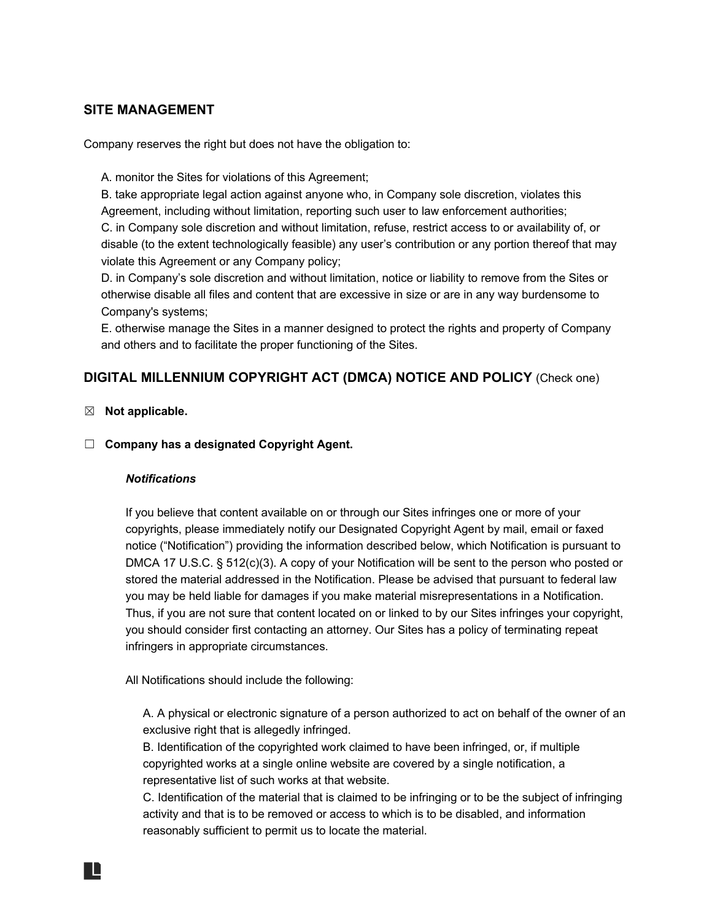# **SITE MANAGEMENT**

Company reserves the right but does not have the obligation to:

A. monitor the Sites for violations of this Agreement;

B. take appropriate legal action against anyone who, in Company sole discretion, violates this Agreement, including without limitation, reporting such user to law enforcement authorities; C. in Company sole discretion and without limitation, refuse, restrict access to or availability of, or disable (to the extent technologically feasible) any user's contribution or any portion thereof that may violate this Agreement or any Company policy;

D. in Company's sole discretion and without limitation, notice or liability to remove from the Sites or otherwise disable all files and content that are excessive in size or are in any way burdensome to Company's systems;

E. otherwise manage the Sites in a manner designed to protect the rights and property of Company and others and to facilitate the proper functioning of the Sites.

# **DIGITAL MILLENNIUM COPYRIGHT ACT (DMCA) NOTICE AND POLICY** (Check one)

## ☒ **Not applicable.**

☐ **Company has a designated Copyright Agent.**

#### *Notifications*

If you believe that content available on or through our Sites infringes one or more of your copyrights, please immediately notify our Designated Copyright Agent by mail, email or faxed notice ("Notification") providing the information described below, which Notification is pursuant to DMCA 17 U.S.C. § 512(c)(3). A copy of your Notification will be sent to the person who posted or stored the material addressed in the Notification. Please be advised that pursuant to federal law you may be held liable for damages if you make material misrepresentations in a Notification. Thus, if you are not sure that content located on or linked to by our Sites infringes your copyright, you should consider first contacting an attorney. Our Sites has a policy of terminating repeat infringers in appropriate circumstances.

All Notifications should include the following:

A. A physical or electronic signature of a person authorized to act on behalf of the owner of an exclusive right that is allegedly infringed.

B. Identification of the copyrighted work claimed to have been infringed, or, if multiple copyrighted works at a single online website are covered by a single notification, a representative list of such works at that website.

C. Identification of the material that is claimed to be infringing or to be the subject of infringing activity and that is to be removed or access to which is to be disabled, and information reasonably sufficient to permit us to locate the material.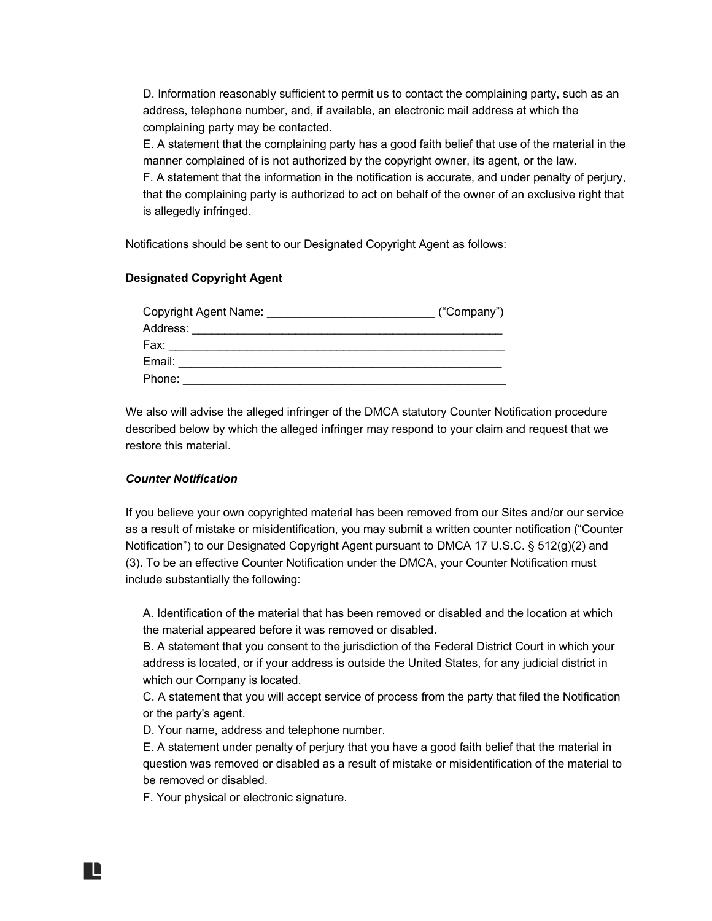D. Information reasonably sufficient to permit us to contact the complaining party, such as an address, telephone number, and, if available, an electronic mail address at which the complaining party may be contacted.

E. A statement that the complaining party has a good faith belief that use of the material in the manner complained of is not authorized by the copyright owner, its agent, or the law.

F. A statement that the information in the notification is accurate, and under penalty of perjury, that the complaining party is authorized to act on behalf of the owner of an exclusive right that is allegedly infringed.

Notifications should be sent to our Designated Copyright Agent as follows:

#### **Designated Copyright Agent**

| Copyright Agent Name: | ("Company") |
|-----------------------|-------------|
| Address:              |             |
| Fax:                  |             |
| Email:                |             |
| Phone:                |             |

We also will advise the alleged infringer of the DMCA statutory Counter Notification procedure described below by which the alleged infringer may respond to your claim and request that we restore this material.

#### *Counter Notification*

If you believe your own copyrighted material has been removed from our Sites and/or our service as a result of mistake or misidentification, you may submit a written counter notification ("Counter Notification") to our Designated Copyright Agent pursuant to DMCA 17 U.S.C. § 512(g)(2) and (3). To be an effective Counter Notification under the DMCA, your Counter Notification must include substantially the following:

A. Identification of the material that has been removed or disabled and the location at which the material appeared before it was removed or disabled.

B. A statement that you consent to the jurisdiction of the Federal District Court in which your address is located, or if your address is outside the United States, for any judicial district in which our Company is located.

C. A statement that you will accept service of process from the party that filed the Notification or the party's agent.

D. Your name, address and telephone number.

E. A statement under penalty of perjury that you have a good faith belief that the material in question was removed or disabled as a result of mistake or misidentification of the material to be removed or disabled.

F. Your physical or electronic signature.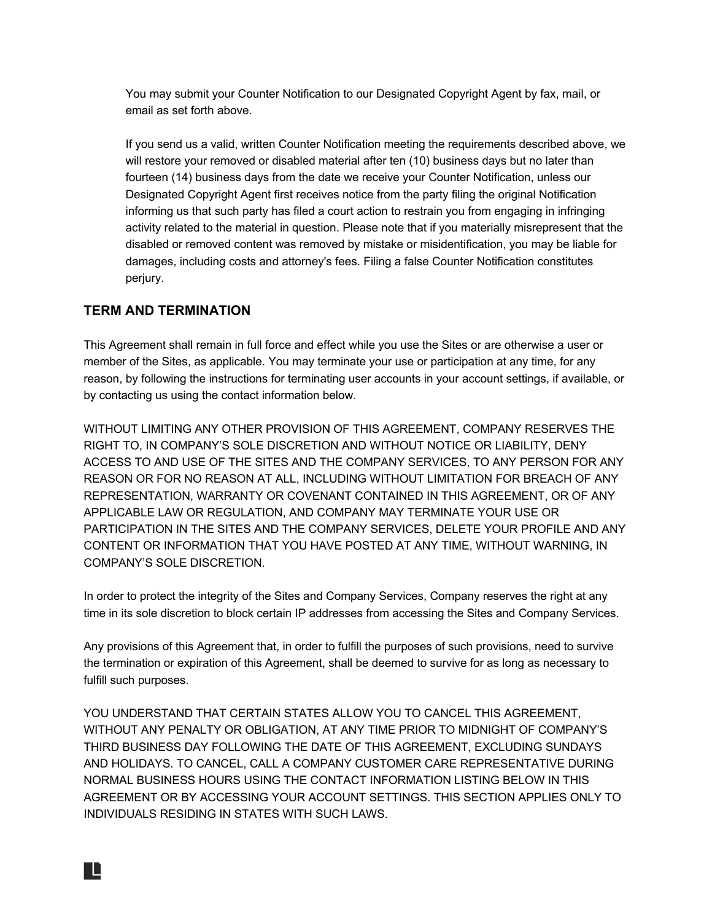You may submit your Counter Notification to our Designated Copyright Agent by fax, mail, or email as set forth above.

If you send us a valid, written Counter Notification meeting the requirements described above, we will restore your removed or disabled material after ten (10) business days but no later than fourteen (14) business days from the date we receive your Counter Notification, unless our Designated Copyright Agent first receives notice from the party filing the original Notification informing us that such party has filed a court action to restrain you from engaging in infringing activity related to the material in question. Please note that if you materially misrepresent that the disabled or removed content was removed by mistake or misidentification, you may be liable for damages, including costs and attorney's fees. Filing a false Counter Notification constitutes perjury.

# **TERM AND TERMINATION**

IL

This Agreement shall remain in full force and effect while you use the Sites or are otherwise a user or member of the Sites, as applicable. You may terminate your use or participation at any time, for any reason, by following the instructions for terminating user accounts in your account settings, if available, or by contacting us using the contact information below.

WITHOUT LIMITING ANY OTHER PROVISION OF THIS AGREEMENT, COMPANY RESERVES THE RIGHT TO, IN COMPANY'S SOLE DISCRETION AND WITHOUT NOTICE OR LIABILITY, DENY ACCESS TO AND USE OF THE SITES AND THE COMPANY SERVICES, TO ANY PERSON FOR ANY REASON OR FOR NO REASON AT ALL, INCLUDING WITHOUT LIMITATION FOR BREACH OF ANY REPRESENTATION, WARRANTY OR COVENANT CONTAINED IN THIS AGREEMENT, OR OF ANY APPLICABLE LAW OR REGULATION, AND COMPANY MAY TERMINATE YOUR USE OR PARTICIPATION IN THE SITES AND THE COMPANY SERVICES, DELETE YOUR PROFILE AND ANY CONTENT OR INFORMATION THAT YOU HAVE POSTED AT ANY TIME, WITHOUT WARNING, IN COMPANY'S SOLE DISCRETION.

In order to protect the integrity of the Sites and Company Services, Company reserves the right at any time in its sole discretion to block certain IP addresses from accessing the Sites and Company Services.

Any provisions of this Agreement that, in order to fulfill the purposes of such provisions, need to survive the termination or expiration of this Agreement, shall be deemed to survive for as long as necessary to fulfill such purposes.

YOU UNDERSTAND THAT CERTAIN STATES ALLOW YOU TO CANCEL THIS AGREEMENT, WITHOUT ANY PENALTY OR OBLIGATION, AT ANY TIME PRIOR TO MIDNIGHT OF COMPANY'S THIRD BUSINESS DAY FOLLOWING THE DATE OF THIS AGREEMENT, EXCLUDING SUNDAYS AND HOLIDAYS. TO CANCEL, CALL A COMPANY CUSTOMER CARE REPRESENTATIVE DURING NORMAL BUSINESS HOURS USING THE CONTACT INFORMATION LISTING BELOW IN THIS AGREEMENT OR BY ACCESSING YOUR ACCOUNT SETTINGS. THIS SECTION APPLIES ONLY TO INDIVIDUALS RESIDING IN STATES WITH SUCH LAWS.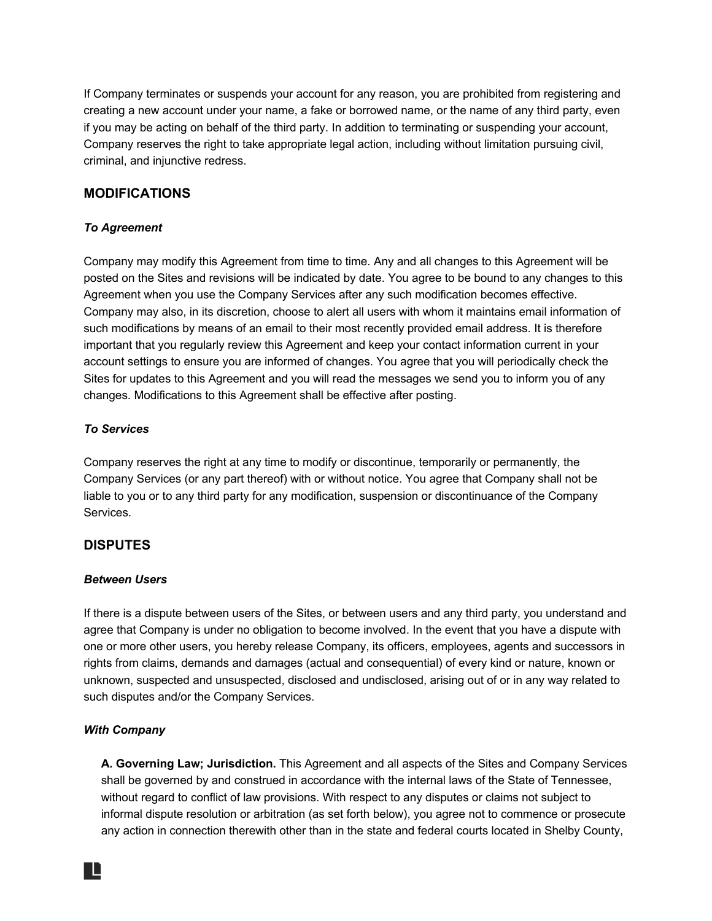If Company terminates or suspends your account for any reason, you are prohibited from registering and creating a new account under your name, a fake or borrowed name, or the name of any third party, even if you may be acting on behalf of the third party. In addition to terminating or suspending your account, Company reserves the right to take appropriate legal action, including without limitation pursuing civil, criminal, and injunctive redress.

# **MODIFICATIONS**

## *To Agreement*

Company may modify this Agreement from time to time. Any and all changes to this Agreement will be posted on the Sites and revisions will be indicated by date. You agree to be bound to any changes to this Agreement when you use the Company Services after any such modification becomes effective. Company may also, in its discretion, choose to alert all users with whom it maintains email information of such modifications by means of an email to their most recently provided email address. It is therefore important that you regularly review this Agreement and keep your contact information current in your account settings to ensure you are informed of changes. You agree that you will periodically check the Sites for updates to this Agreement and you will read the messages we send you to inform you of any changes. Modifications to this Agreement shall be effective after posting.

## *To Services*

Company reserves the right at any time to modify or discontinue, temporarily or permanently, the Company Services (or any part thereof) with or without notice. You agree that Company shall not be liable to you or to any third party for any modification, suspension or discontinuance of the Company Services.

#### **DISPUTES**

#### *Between Users*

If there is a dispute between users of the Sites, or between users and any third party, you understand and agree that Company is under no obligation to become involved. In the event that you have a dispute with one or more other users, you hereby release Company, its officers, employees, agents and successors in rights from claims, demands and damages (actual and consequential) of every kind or nature, known or unknown, suspected and unsuspected, disclosed and undisclosed, arising out of or in any way related to such disputes and/or the Company Services.

#### *With Company*

**A. Governing Law; Jurisdiction.** This Agreement and all aspects of the Sites and Company Services shall be governed by and construed in accordance with the internal laws of the State of Tennessee, without regard to conflict of law provisions. With respect to any disputes or claims not subject to informal dispute resolution or arbitration (as set forth below), you agree not to commence or prosecute any action in connection therewith other than in the state and federal courts located in Shelby County,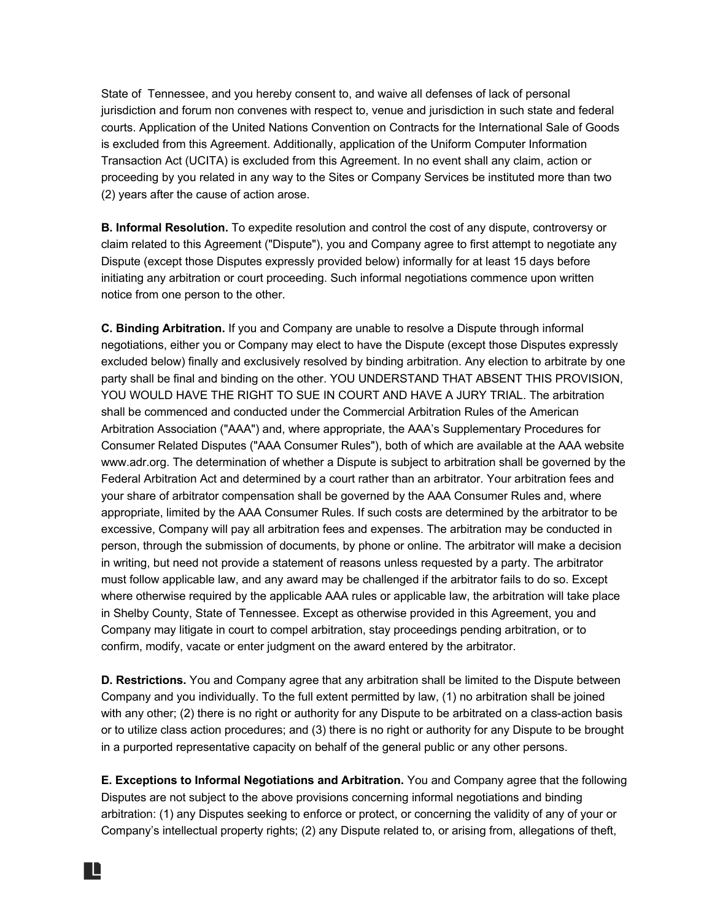State of Tennessee, and you hereby consent to, and waive all defenses of lack of personal jurisdiction and forum non convenes with respect to, venue and jurisdiction in such state and federal courts. Application of the United Nations Convention on Contracts for the International Sale of Goods is excluded from this Agreement. Additionally, application of the Uniform Computer Information Transaction Act (UCITA) is excluded from this Agreement. In no event shall any claim, action or proceeding by you related in any way to the Sites or Company Services be instituted more than two (2) years after the cause of action arose.

**B. Informal Resolution.** To expedite resolution and control the cost of any dispute, controversy or claim related to this Agreement ("Dispute"), you and Company agree to first attempt to negotiate any Dispute (except those Disputes expressly provided below) informally for at least 15 days before initiating any arbitration or court proceeding. Such informal negotiations commence upon written notice from one person to the other.

**C. Binding Arbitration.** If you and Company are unable to resolve a Dispute through informal negotiations, either you or Company may elect to have the Dispute (except those Disputes expressly excluded below) finally and exclusively resolved by binding arbitration. Any election to arbitrate by one party shall be final and binding on the other. YOU UNDERSTAND THAT ABSENT THIS PROVISION, YOU WOULD HAVE THE RIGHT TO SUE IN COURT AND HAVE A JURY TRIAL. The arbitration shall be commenced and conducted under the Commercial Arbitration Rules of the American Arbitration Association ("AAA") and, where appropriate, the AAA's Supplementary Procedures for Consumer Related Disputes ("AAA Consumer Rules"), both of which are available at the AAA website www.adr.org. The determination of whether a Dispute is subject to arbitration shall be governed by the Federal Arbitration Act and determined by a court rather than an arbitrator. Your arbitration fees and your share of arbitrator compensation shall be governed by the AAA Consumer Rules and, where appropriate, limited by the AAA Consumer Rules. If such costs are determined by the arbitrator to be excessive, Company will pay all arbitration fees and expenses. The arbitration may be conducted in person, through the submission of documents, by phone or online. The arbitrator will make a decision in writing, but need not provide a statement of reasons unless requested by a party. The arbitrator must follow applicable law, and any award may be challenged if the arbitrator fails to do so. Except where otherwise required by the applicable AAA rules or applicable law, the arbitration will take place in Shelby County, State of Tennessee. Except as otherwise provided in this Agreement, you and Company may litigate in court to compel arbitration, stay proceedings pending arbitration, or to confirm, modify, vacate or enter judgment on the award entered by the arbitrator.

**D. Restrictions.** You and Company agree that any arbitration shall be limited to the Dispute between Company and you individually. To the full extent permitted by law, (1) no arbitration shall be joined with any other; (2) there is no right or authority for any Dispute to be arbitrated on a class-action basis or to utilize class action procedures; and (3) there is no right or authority for any Dispute to be brought in a purported representative capacity on behalf of the general public or any other persons.

**E. Exceptions to Informal Negotiations and Arbitration.** You and Company agree that the following Disputes are not subject to the above provisions concerning informal negotiations and binding arbitration: (1) any Disputes seeking to enforce or protect, or concerning the validity of any of your or Company's intellectual property rights; (2) any Dispute related to, or arising from, allegations of theft,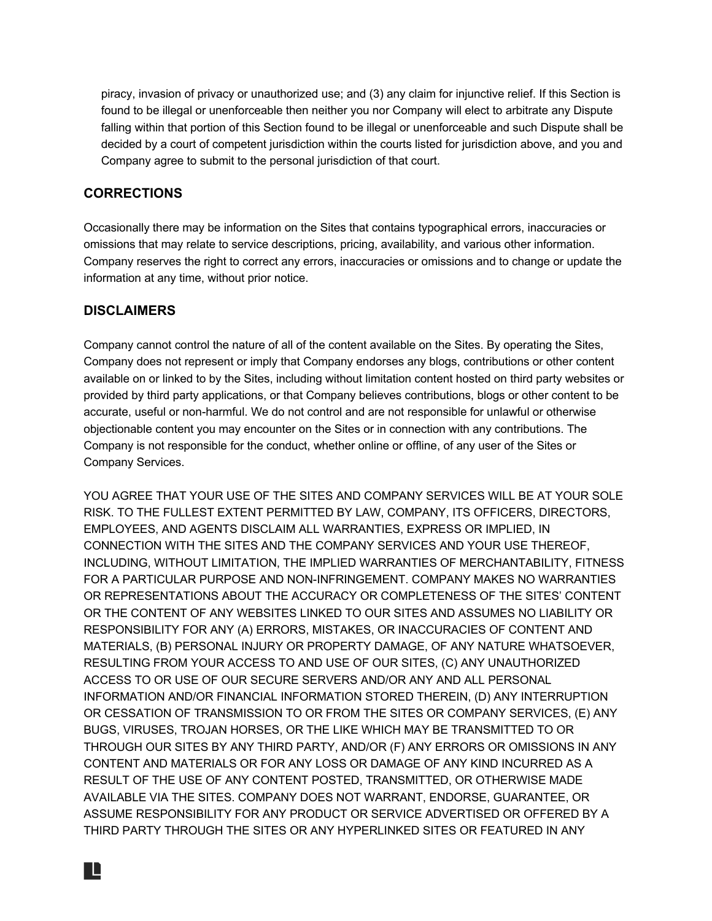piracy, invasion of privacy or unauthorized use; and (3) any claim for injunctive relief. If this Section is found to be illegal or unenforceable then neither you nor Company will elect to arbitrate any Dispute falling within that portion of this Section found to be illegal or unenforceable and such Dispute shall be decided by a court of competent jurisdiction within the courts listed for jurisdiction above, and you and Company agree to submit to the personal jurisdiction of that court.

# **CORRECTIONS**

Occasionally there may be information on the Sites that contains typographical errors, inaccuracies or omissions that may relate to service descriptions, pricing, availability, and various other information. Company reserves the right to correct any errors, inaccuracies or omissions and to change or update the information at any time, without prior notice.

# **DISCLAIMERS**

Company cannot control the nature of all of the content available on the Sites. By operating the Sites, Company does not represent or imply that Company endorses any blogs, contributions or other content available on or linked to by the Sites, including without limitation content hosted on third party websites or provided by third party applications, or that Company believes contributions, blogs or other content to be accurate, useful or non-harmful. We do not control and are not responsible for unlawful or otherwise objectionable content you may encounter on the Sites or in connection with any contributions. The Company is not responsible for the conduct, whether online or offline, of any user of the Sites or Company Services.

YOU AGREE THAT YOUR USE OF THE SITES AND COMPANY SERVICES WILL BE AT YOUR SOLE RISK. TO THE FULLEST EXTENT PERMITTED BY LAW, COMPANY, ITS OFFICERS, DIRECTORS, EMPLOYEES, AND AGENTS DISCLAIM ALL WARRANTIES, EXPRESS OR IMPLIED, IN CONNECTION WITH THE SITES AND THE COMPANY SERVICES AND YOUR USE THEREOF, INCLUDING, WITHOUT LIMITATION, THE IMPLIED WARRANTIES OF MERCHANTABILITY, FITNESS FOR A PARTICULAR PURPOSE AND NON-INFRINGEMENT. COMPANY MAKES NO WARRANTIES OR REPRESENTATIONS ABOUT THE ACCURACY OR COMPLETENESS OF THE SITES' CONTENT OR THE CONTENT OF ANY WEBSITES LINKED TO OUR SITES AND ASSUMES NO LIABILITY OR RESPONSIBILITY FOR ANY (A) ERRORS, MISTAKES, OR INACCURACIES OF CONTENT AND MATERIALS, (B) PERSONAL INJURY OR PROPERTY DAMAGE, OF ANY NATURE WHATSOEVER, RESULTING FROM YOUR ACCESS TO AND USE OF OUR SITES, (C) ANY UNAUTHORIZED ACCESS TO OR USE OF OUR SECURE SERVERS AND/OR ANY AND ALL PERSONAL INFORMATION AND/OR FINANCIAL INFORMATION STORED THEREIN, (D) ANY INTERRUPTION OR CESSATION OF TRANSMISSION TO OR FROM THE SITES OR COMPANY SERVICES, (E) ANY BUGS, VIRUSES, TROJAN HORSES, OR THE LIKE WHICH MAY BE TRANSMITTED TO OR THROUGH OUR SITES BY ANY THIRD PARTY, AND/OR (F) ANY ERRORS OR OMISSIONS IN ANY CONTENT AND MATERIALS OR FOR ANY LOSS OR DAMAGE OF ANY KIND INCURRED AS A RESULT OF THE USE OF ANY CONTENT POSTED, TRANSMITTED, OR OTHERWISE MADE AVAILABLE VIA THE SITES. COMPANY DOES NOT WARRANT, ENDORSE, GUARANTEE, OR ASSUME RESPONSIBILITY FOR ANY PRODUCT OR SERVICE ADVERTISED OR OFFERED BY A THIRD PARTY THROUGH THE SITES OR ANY HYPERLINKED SITES OR FEATURED IN ANY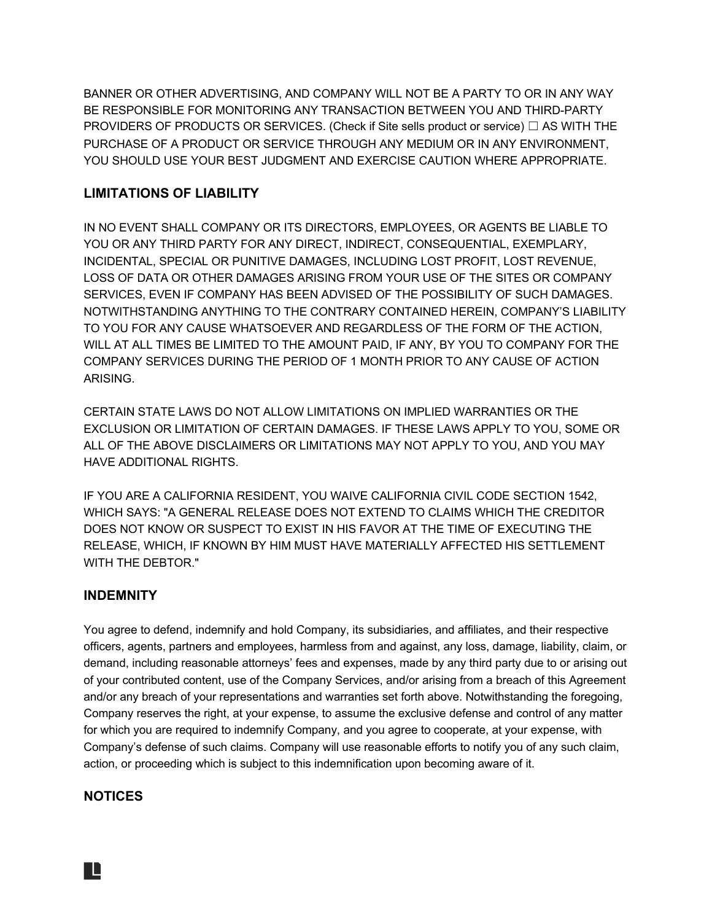BANNER OR OTHER ADVERTISING, AND COMPANY WILL NOT BE A PARTY TO OR IN ANY WAY BE RESPONSIBLE FOR MONITORING ANY TRANSACTION BETWEEN YOU AND THIRD-PARTY PROVIDERS OF PRODUCTS OR SERVICES. (Check if Site sells product or service)  $\Box$  AS WITH THE PURCHASE OF A PRODUCT OR SERVICE THROUGH ANY MEDIUM OR IN ANY ENVIRONMENT, YOU SHOULD USE YOUR BEST JUDGMENT AND EXERCISE CAUTION WHERE APPROPRIATE.

# **LIMITATIONS OF LIABILITY**

IN NO EVENT SHALL COMPANY OR ITS DIRECTORS, EMPLOYEES, OR AGENTS BE LIABLE TO YOU OR ANY THIRD PARTY FOR ANY DIRECT, INDIRECT, CONSEQUENTIAL, EXEMPLARY, INCIDENTAL, SPECIAL OR PUNITIVE DAMAGES, INCLUDING LOST PROFIT, LOST REVENUE, LOSS OF DATA OR OTHER DAMAGES ARISING FROM YOUR USE OF THE SITES OR COMPANY SERVICES, EVEN IF COMPANY HAS BEEN ADVISED OF THE POSSIBILITY OF SUCH DAMAGES. NOTWITHSTANDING ANYTHING TO THE CONTRARY CONTAINED HEREIN, COMPANY'S LIABILITY TO YOU FOR ANY CAUSE WHATSOEVER AND REGARDLESS OF THE FORM OF THE ACTION, WILL AT ALL TIMES BE LIMITED TO THE AMOUNT PAID, IF ANY, BY YOU TO COMPANY FOR THE COMPANY SERVICES DURING THE PERIOD OF 1 MONTH PRIOR TO ANY CAUSE OF ACTION ARISING.

CERTAIN STATE LAWS DO NOT ALLOW LIMITATIONS ON IMPLIED WARRANTIES OR THE EXCLUSION OR LIMITATION OF CERTAIN DAMAGES. IF THESE LAWS APPLY TO YOU, SOME OR ALL OF THE ABOVE DISCLAIMERS OR LIMITATIONS MAY NOT APPLY TO YOU, AND YOU MAY HAVE ADDITIONAL RIGHTS.

IF YOU ARE A CALIFORNIA RESIDENT, YOU WAIVE CALIFORNIA CIVIL CODE SECTION 1542, WHICH SAYS: "A GENERAL RELEASE DOES NOT EXTEND TO CLAIMS WHICH THE CREDITOR DOES NOT KNOW OR SUSPECT TO EXIST IN HIS FAVOR AT THE TIME OF EXECUTING THE RELEASE, WHICH, IF KNOWN BY HIM MUST HAVE MATERIALLY AFFECTED HIS SETTLEMENT WITH THE DEBTOR."

# **INDEMNITY**

You agree to defend, indemnify and hold Company, its subsidiaries, and affiliates, and their respective officers, agents, partners and employees, harmless from and against, any loss, damage, liability, claim, or demand, including reasonable attorneys' fees and expenses, made by any third party due to or arising out of your contributed content, use of the Company Services, and/or arising from a breach of this Agreement and/or any breach of your representations and warranties set forth above. Notwithstanding the foregoing, Company reserves the right, at your expense, to assume the exclusive defense and control of any matter for which you are required to indemnify Company, and you agree to cooperate, at your expense, with Company's defense of such claims. Company will use reasonable efforts to notify you of any such claim, action, or proceeding which is subject to this indemnification upon becoming aware of it.

# **NOTICES**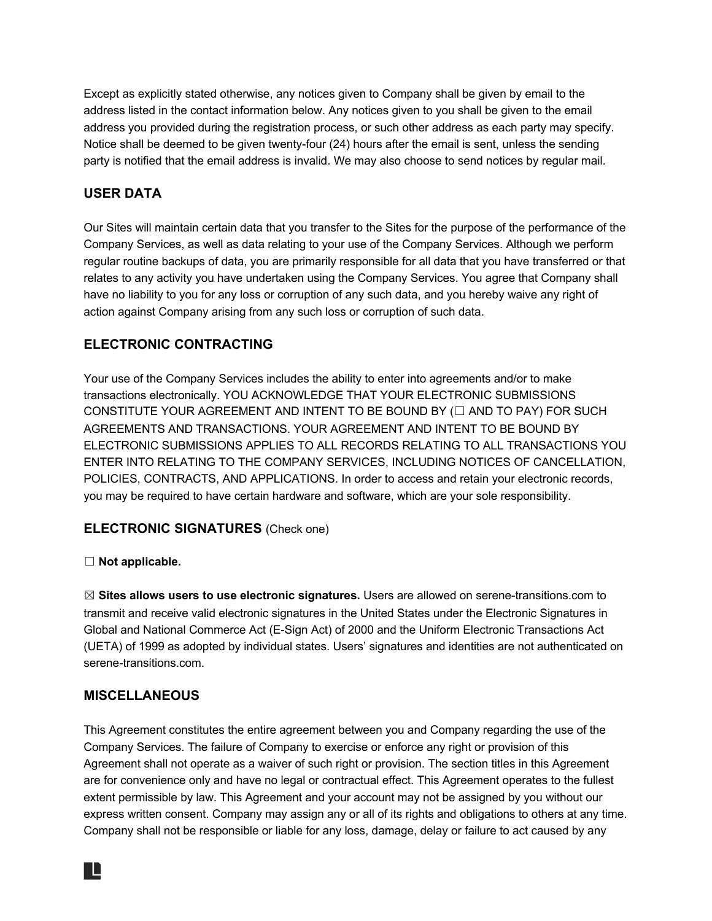Except as explicitly stated otherwise, any notices given to Company shall be given by email to the address listed in the contact information below. Any notices given to you shall be given to the email address you provided during the registration process, or such other address as each party may specify. Notice shall be deemed to be given twenty-four (24) hours after the email is sent, unless the sending party is notified that the email address is invalid. We may also choose to send notices by regular mail.

# **USER DATA**

Our Sites will maintain certain data that you transfer to the Sites for the purpose of the performance of the Company Services, as well as data relating to your use of the Company Services. Although we perform regular routine backups of data, you are primarily responsible for all data that you have transferred or that relates to any activity you have undertaken using the Company Services. You agree that Company shall have no liability to you for any loss or corruption of any such data, and you hereby waive any right of action against Company arising from any such loss or corruption of such data.

# **ELECTRONIC CONTRACTING**

Your use of the Company Services includes the ability to enter into agreements and/or to make transactions electronically. YOU ACKNOWLEDGE THAT YOUR ELECTRONIC SUBMISSIONS CONSTITUTE YOUR AGREEMENT AND INTENT TO BE BOUND BY (☐ AND TO PAY) FOR SUCH AGREEMENTS AND TRANSACTIONS. YOUR AGREEMENT AND INTENT TO BE BOUND BY ELECTRONIC SUBMISSIONS APPLIES TO ALL RECORDS RELATING TO ALL TRANSACTIONS YOU ENTER INTO RELATING TO THE COMPANY SERVICES, INCLUDING NOTICES OF CANCELLATION, POLICIES, CONTRACTS, AND APPLICATIONS. In order to access and retain your electronic records, you may be required to have certain hardware and software, which are your sole responsibility.

# **ELECTRONIC SIGNATURES** (Check one)

# ☐ **Not applicable.**

☒ **Sites allows users to use electronic signatures.** Users are allowed on serene-transitions.com to transmit and receive valid electronic signatures in the United States under the Electronic Signatures in Global and National Commerce Act (E-Sign Act) of 2000 and the Uniform Electronic Transactions Act (UETA) of 1999 as adopted by individual states. Users' signatures and identities are not authenticated on serene-transitions.com.

# **MISCELLANEOUS**

IL

This Agreement constitutes the entire agreement between you and Company regarding the use of the Company Services. The failure of Company to exercise or enforce any right or provision of this Agreement shall not operate as a waiver of such right or provision. The section titles in this Agreement are for convenience only and have no legal or contractual effect. This Agreement operates to the fullest extent permissible by law. This Agreement and your account may not be assigned by you without our express written consent. Company may assign any or all of its rights and obligations to others at any time. Company shall not be responsible or liable for any loss, damage, delay or failure to act caused by any